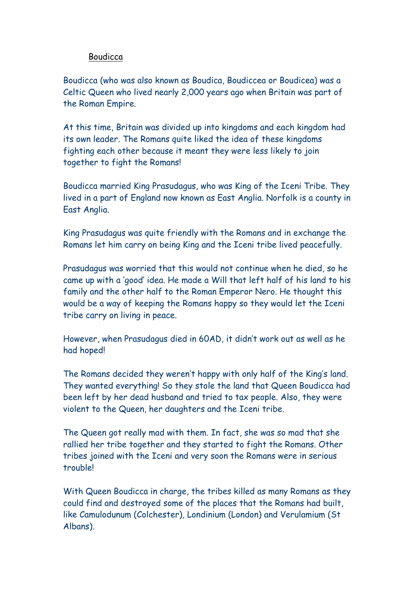## Boudicca

Boudicca (who was also known as Boudica, Boudiccea or Boudicea) was a Celtic Queen who lived nearly 2,000 years ago when Britain was part of the Roman Empire.

At this time, Britain was divided up into kingdoms and each kingdom had its own leader. The Romans quite liked the idea of these kingdoms fighting each other because it meant they were less likely to join together to fight the Romans!

Boudicca married King Prasudagus, who was King of the Iceni Tribe. They lived in a part of England now known as East Anglia. Norfolk is a county in East Anglia.

King Prasudagus was quite friendly with the Romans and in exchange the Romans let him carry on being King and the Iceni tribe lived peacefully.

Prasudagus was worried that this would not continue when he died, so he came up with a 'good' idea. He made a Will that left half of his land to his family and the other half to the Roman Emperor Nero. He thought this would be a way of keeping the Romans happy so they would let the Iceni tribe carry on living in peace.

However, when Prasudagus died in 60AD, it didn't work out as well as he had hoped!

The Romans decided they weren't happy with only half of the King's land. They wanted everything! So they stole the land that Queen Boudicca had been left by her dead husband and tried to tax people. Also, they were violent to the Queen, her daughters and the Iceni tribe.

The Queen got really mad with them. In fact, she was so mad that she rallied her tribe together and they started to fight the Romans. Other tribes joined with the Iceni and very soon the Romans were in serious trouble!

With Queen Boudicca in charge, the tribes killed as many Romans as they could find and destroyed some of the places that the Romans had built, like Camulodunum (Colchester), Londinium (London) and Verulamium (St Albans).